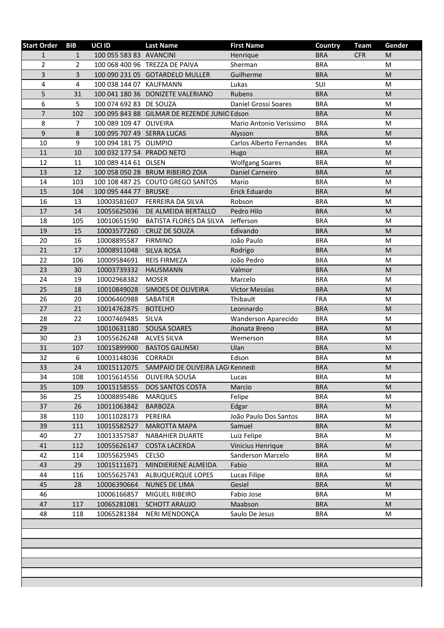| <b>Start Order</b> | <b>BIB</b>     | UCI ID                     | <b>Last Name</b>                             | <b>First Name</b>        | Country    | <b>Team</b> | Gender                                                                                                     |
|--------------------|----------------|----------------------------|----------------------------------------------|--------------------------|------------|-------------|------------------------------------------------------------------------------------------------------------|
| $\mathbf{1}$       | $\mathbf{1}$   | 100 055 583 83 AVANCINI    |                                              | Henrique                 | <b>BRA</b> | <b>CFR</b>  | M                                                                                                          |
| $\overline{2}$     | $\overline{2}$ |                            | 100 068 400 96 TREZZA DE PAIVA               | Sherman                  | <b>BRA</b> |             | M                                                                                                          |
| 3                  | 3              |                            | 100 090 231 05 GOTARDELO MULLER              | Guilherme                | <b>BRA</b> |             | M                                                                                                          |
| 4                  | 4              | 100 038 144 07 KAUFMANN    |                                              | Lukas                    | SUI        |             | M                                                                                                          |
| 5                  | 31             |                            | 100 041 180 36 DONIZETE VALERIANO            | Rubens                   | <b>BRA</b> |             | M                                                                                                          |
| 6                  | 5              | 100 074 692 83 DE SOUZA    |                                              | Daniel Grossi Soares     | <b>BRA</b> |             | M                                                                                                          |
| $\overline{7}$     | 102            |                            | 100 095 843 88 GILMAR DE REZENDE JUNIO Edson |                          | <b>BRA</b> |             | M                                                                                                          |
| 8                  | $\overline{7}$ | 100 089 109 47 OLIVEIRA    |                                              | Mario Antonio Verissimo  | <b>BRA</b> |             | M                                                                                                          |
| $\mathsf 9$        | 8              | 100 095 707 49 SERRA LUCAS |                                              | Alysson                  | <b>BRA</b> |             | $\mathsf{M}% _{T}=\mathsf{M}_{T}\!\left( a,b\right) ,\ \mathsf{M}_{T}=\mathsf{M}_{T}\!\left( a,b\right) ,$ |
| 10                 | 9              | 100 094 181 75 OLIMPIO     |                                              | Carlos Alberto Fernandes | <b>BRA</b> |             | M                                                                                                          |
| 11                 | 10             | 100 032 177 54 PRADO NETO  |                                              | Hugo                     | <b>BRA</b> |             | M                                                                                                          |
| 12                 | 11             | 100 089 414 61 OLSEN       |                                              | <b>Wolfgang Soares</b>   | <b>BRA</b> |             | M                                                                                                          |
| 13                 | 12             |                            | 100 058 050 28 BRUM RIBEIRO ZOIA             | Daniel Carneiro          | <b>BRA</b> |             | M                                                                                                          |
| 14                 | 103            |                            | 100 108 487 25 COUTO GREGO SANTOS            | Mario                    | <b>BRA</b> |             | M                                                                                                          |
| 15                 | 104            | 100 095 444 77 BRUSKE      |                                              | Erick Eduardo            | <b>BRA</b> |             | $\mathsf{M}% _{T}=\mathsf{M}_{T}\!\left( a,b\right) ,\ \mathsf{M}_{T}=\mathsf{M}_{T}\!\left( a,b\right) ,$ |
| 16                 | 13             | 10003581607                | FERREIRA DA SILVA                            | Robson                   | <b>BRA</b> |             | М                                                                                                          |
| 17                 | 14             | 10055625036                | DE ALMEIDA BERTALLO                          | Pedro Hilo               | <b>BRA</b> |             | M                                                                                                          |
| 18                 | 105            | 10010651590                | <b>BATISTA FLORES DA SILVA</b>               | Jefferson                | <b>BRA</b> |             | M                                                                                                          |
| 19                 | 15             | 10003577260                | CRUZ DE SOUZA                                | Edivando                 | <b>BRA</b> |             | M                                                                                                          |
| 20                 | 16             | 10008895587                | <b>FIRMINO</b>                               | João Paulo               | <b>BRA</b> |             | M                                                                                                          |
| 21                 | 17             | 10008911048                | <b>SILVA ROSA</b>                            | Rodrigo                  | <b>BRA</b> |             | M                                                                                                          |
| 22                 | 106            | 10009584691                | <b>REIS FIRMEZA</b>                          | João Pedro               | <b>BRA</b> |             | M                                                                                                          |
| 23                 | 30             | 10003739332                | <b>HAUSMANN</b>                              | Valmor                   | <b>BRA</b> |             | M                                                                                                          |
| 24                 | 19             | 10002968382                | <b>MOSER</b>                                 | Marcelo                  | <b>BRA</b> |             | M                                                                                                          |
| 25                 | 18             | 10010849028                | SIMOES DE OLIVEIRA                           | <b>Victor Messias</b>    | <b>BRA</b> |             | M                                                                                                          |
| 26                 | 20             | 10006460988                | SABATIER                                     | Thibault                 | <b>FRA</b> |             | M                                                                                                          |
| 27                 | 21             | 10014762875                | <b>BOTELHO</b>                               | Leonnardo                | <b>BRA</b> |             | M                                                                                                          |
| 28                 | 22             | 10007469485                | <b>SILVA</b>                                 | Wanderson Aparecido      | <b>BRA</b> |             | M                                                                                                          |
| 29                 |                | 10010631180                | SOUSA SOARES                                 | Jhonata Breno            | <b>BRA</b> |             | M                                                                                                          |
| 30                 | 23             | 10055626248                | <b>ALVES SILVA</b>                           | Wemerson                 | <b>BRA</b> |             | M                                                                                                          |
| 31                 | 107            | 10015899900                | <b>BASTOS GALINSKI</b>                       | Ulan                     | <b>BRA</b> |             | $\mathsf{M}% _{T}=\mathsf{M}_{T}\!\left( a,b\right) ,\ \mathsf{M}_{T}=\mathsf{M}_{T}\!\left( a,b\right) ,$ |
| 32                 | 6              | 10003148036                | <b>CORRADI</b>                               | Edson                    | <b>BRA</b> |             | M                                                                                                          |
| 33                 | 24             | 10015112075                | SAMPAIO DE OLIVEIRA LAGI Kennedi             |                          | <b>BRA</b> |             | M                                                                                                          |
| 34                 | 108            | 10015614556                | OLIVEIRA SOUSA                               | Lucas                    | <b>BRA</b> |             | M                                                                                                          |
| 35                 | 109            | 10015158555                | DOS SANTOS COSTA                             | Marcio                   | <b>BRA</b> |             | M                                                                                                          |
| 36                 | 25             | 10008895486                | <b>MARQUES</b>                               | Felipe                   | <b>BRA</b> |             | M                                                                                                          |
| 37                 | 26             | 10011063842                | <b>BARBOZA</b>                               | Edgar                    | <b>BRA</b> |             | M                                                                                                          |
| 38                 | 110            | 10011028173                | PEREIRA                                      | João Paulo Dos Santos    | <b>BRA</b> |             | М                                                                                                          |
| 39                 | 111            | 10015582527                | <b>MAROTTA MAPA</b>                          | Samuel                   | <b>BRA</b> |             | M                                                                                                          |
| 40                 | 27             | 10013357587                | <b>NABAHIER DUARTE</b>                       | Luiz Felipe              | <b>BRA</b> |             | M                                                                                                          |
| 41                 | 112            | 10055626147                | <b>COSTA LACERDA</b>                         | Vinicius Henrique        | <b>BRA</b> |             | M                                                                                                          |
| 42                 | 114            | 10055625945                | <b>CELSO</b>                                 | Sanderson Marcelo        | <b>BRA</b> |             | M                                                                                                          |
| 43                 | 29             | 10015111671                | MINDIERIENE ALMEIDA                          | Fabio                    | <b>BRA</b> |             | M                                                                                                          |
| 44                 | 116            | 10055625743                | ALBUQUERQUE LOPES                            | Lucas Filipe             | <b>BRA</b> |             | M                                                                                                          |
| 45                 | 28             | 10006390664                | NUNES DE LIMA                                | Gesiel                   | <b>BRA</b> |             | M                                                                                                          |
| 46                 |                | 10006166857                | MIGUEL RIBEIRO                               | Fabio Jose               | <b>BRA</b> |             | М                                                                                                          |
| 47                 | 117            | 10065281081                | <b>SCHOTT ARAUJO</b>                         | Maabson                  | <b>BRA</b> |             | M                                                                                                          |
| 48                 | 118            | 10065281384                | NERI MENDONÇA                                | Saulo De Jesus           | <b>BRA</b> |             | M                                                                                                          |
|                    |                |                            |                                              |                          |            |             |                                                                                                            |